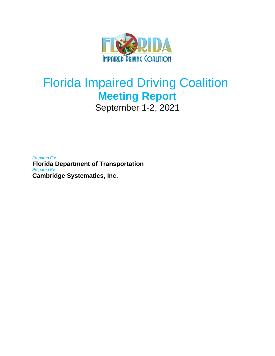

# Florida Impaired Driving Coalition **Meeting Report** September 1-2, 2021

*Prepared For:* **Florida Department of Transportation** *Prepared By:* **Cambridge Systematics, Inc.**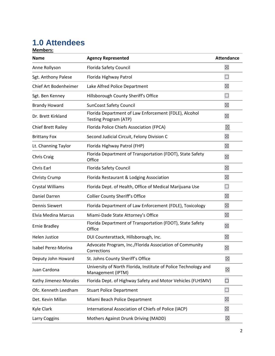## **1.0 Attendees**

**Members:**

| <b>Name</b>                | <b>Agency Represented</b>                                                             | <b>Attendance</b> |
|----------------------------|---------------------------------------------------------------------------------------|-------------------|
| Anne Rollyson              | <b>Florida Safety Council</b>                                                         | $\boxtimes$       |
| Sgt. Anthony Palese        | Florida Highway Patrol                                                                | $\Box$            |
| Chief Art Bodenheimer      | Lake Alfred Police Department                                                         | $\boxtimes$       |
| Sgt. Ben Kenney            | Hillsborough County Sheriff's Office                                                  | $\Box$            |
| <b>Brandy Howard</b>       | <b>SunCoast Safety Council</b>                                                        | $\boxtimes$       |
| Dr. Brett Kirkland         | Florida Department of Law Enforcement (FDLE), Alcohol<br><b>Testing Program (ATP)</b> | $\boxtimes$       |
| <b>Chief Brett Railey</b>  | Florida Police Chiefs Association (FPCA)                                              | $\boxtimes$       |
| <b>Brittany Fox</b>        | Second Judicial Circuit, Felony Division C                                            | $\boxtimes$       |
| Lt. Channing Taylor        | Florida Highway Patrol (FHP)                                                          | $\boxtimes$       |
| <b>Chris Craig</b>         | Florida Department of Transportation (FDOT), State Safety<br>Office                   | $\boxtimes$       |
| Chris Earl                 | Florida Safety Council                                                                | $\boxtimes$       |
| <b>Christy Crump</b>       | Florida Restaurant & Lodging Association                                              | $\boxtimes$       |
| Crystal Williams           | Florida Dept. of Health, Office of Medical Marijuana Use                              | $\Box$            |
| Daniel Darren              | <b>Collier County Sheriff's Office</b>                                                | $\boxtimes$       |
| <b>Dennis Siewert</b>      | Florida Department of Law Enforcement (FDLE), Toxicology                              | $\boxtimes$       |
| <b>Elvia Medina Marcus</b> | Miami-Dade State Attorney's Office                                                    | $\boxtimes$       |
| <b>Ernie Bradley</b>       | Florida Department of Transportation (FDOT), State Safety<br>Office                   | $\boxtimes$       |
| <b>Helen Justice</b>       | DUI Counterattack, Hillsborough, Inc.                                                 | $\boxtimes$       |
| Isabel Perez-Morina        | Advocate Program, Inc./Florida Association of Community<br>Corrections                | $\boxtimes$       |
| Deputy John Howard         | St. Johns County Sheriff's Office                                                     | $\boxtimes$       |
| Juan Cardona               | University of North Florida, Institute of Police Technology and<br>Management (IPTM)  | $\boxtimes$       |
| Kathy Jimenez-Morales      | Florida Dept. of Highway Safety and Motor Vehicles (FLHSMV)                           | $\Box$            |
| Ofc. Kenneth Leedham       | <b>Stuart Police Department</b>                                                       | $\Box$            |
| Det. Kevin Millan          | Miami Beach Police Department                                                         | $\boxtimes$       |
| Kyle Clark                 | International Association of Chiefs of Police (IACP)                                  | $\boxtimes$       |
| Larry Coggins              | Mothers Against Drunk Driving (MADD)                                                  | $\boxtimes$       |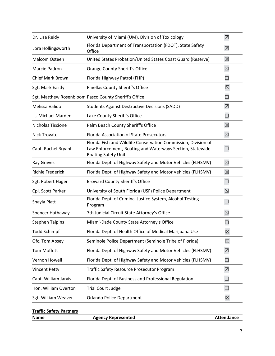| Dr. Lisa Reidy                                        | University of Miami (UM), Division of Toxicology                                                                                                          | $\boxtimes$ |
|-------------------------------------------------------|-----------------------------------------------------------------------------------------------------------------------------------------------------------|-------------|
| Lora Hollingsworth                                    | Florida Department of Transportation (FDOT), State Safety<br>Office                                                                                       | $\boxtimes$ |
| Malcom Osteen                                         | United States Probation/United States Coast Guard (Reserve)                                                                                               | $\boxtimes$ |
| Marcie Padron                                         | Orange County Sheriff's Office                                                                                                                            | $\boxtimes$ |
| <b>Chief Mark Brown</b>                               | Florida Highway Patrol (FHP)                                                                                                                              | $\Box$      |
| Sgt. Mark Eastly                                      | Pinellas County Sheriff's Office                                                                                                                          | $\boxtimes$ |
| Sgt. Matthew Rosenbloom Pasco County Sheriff's Office |                                                                                                                                                           |             |
| Melissa Valido                                        | <b>Students Against Destructive Decisions (SADD)</b>                                                                                                      | $\boxtimes$ |
| Lt. Michael Marden                                    | Lake County Sheriff's Office                                                                                                                              | $\Box$      |
| Nicholas Tiscione                                     | Palm Beach County Sheriff's Office                                                                                                                        | $\boxtimes$ |
| Nick Trovato                                          | <b>Florida Association of State Prosecutors</b>                                                                                                           | $\boxtimes$ |
| Capt. Rachel Bryant                                   | Florida Fish and Wildlife Conservation Commission, Division of<br>Law Enforcement, Boating and Waterways Section, Statewide<br><b>Boating Safety Unit</b> |             |
| Ray Graves                                            | Florida Dept. of Highway Safety and Motor Vehicles (FLHSMV)                                                                                               | $\boxtimes$ |
| <b>Richie Frederick</b>                               | Florida Dept. of Highway Safety and Motor Vehicles (FLHSMV)                                                                                               | $\boxtimes$ |
| Sgt. Robert Hager                                     | <b>Broward County Sheriff's Office</b>                                                                                                                    | $\Box$      |
| Cpl. Scott Parker                                     | University of South Florida (USF) Police Department                                                                                                       | $\boxtimes$ |
| Shayla Platt                                          | Florida Dept. of Criminal Justice System, Alcohol Testing<br>Program                                                                                      | $\Box$      |
| Spencer Hathaway                                      | 7th Judicial Circuit State Attorney's Office                                                                                                              | $\boxtimes$ |
| <b>Stephen Talpins</b>                                | Miami-Dade County State Attorney's Office                                                                                                                 | $\Box$      |
| <b>Todd Schimpf</b>                                   | Florida Dept. of Health Office of Medical Marijuana Use                                                                                                   | $\boxtimes$ |
| Ofc. Tom Apsey                                        | Seminole Police Department (Seminole Tribe of Florida)                                                                                                    | $\boxtimes$ |
| <b>Tom Moffett</b>                                    | Florida Dept. of Highway Safety and Motor Vehicles (FLHSMV)                                                                                               | $\boxtimes$ |
| Vernon Howell                                         | Florida Dept. of Highway Safety and Motor Vehicles (FLHSMV)                                                                                               | $\Box$      |
| <b>Vincent Petty</b>                                  | <b>Traffic Safety Resource Prosecutor Program</b>                                                                                                         | $\boxtimes$ |
| Capt. William Jarvis                                  | Florida Dept. of Business and Professional Regulation                                                                                                     | $\Box$      |
| Hon. William Overton                                  | <b>Trial Court Judge</b>                                                                                                                                  | $\Box$      |
| Sgt. William Weaver                                   | <b>Orlando Police Department</b>                                                                                                                          | $\boxtimes$ |
|                                                       |                                                                                                                                                           |             |

| <b>Traffic Safety Partners</b> |                           |                   |
|--------------------------------|---------------------------|-------------------|
| <b>Name</b>                    | <b>Agency Represented</b> | <b>Attendance</b> |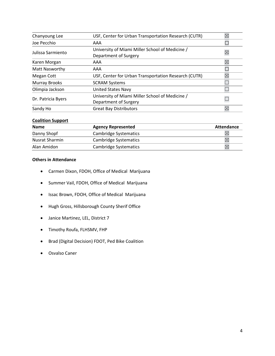| Chanyoung Lee        | USF, Center for Urban Transportation Research (CUTR) |             |
|----------------------|------------------------------------------------------|-------------|
| Joe Pecchio          | AAA                                                  |             |
| Julissa Sarmiento    | University of Miami Miller School of Medicine /      | ⊠           |
|                      | Department of Surgery                                |             |
| Karen Morgan         | AAA                                                  | $\boxtimes$ |
| Matt Nasworthy       | AAA                                                  |             |
| Megan Cott           | USF, Center for Urban Transportation Research (CUTR) | ⊠           |
| <b>Murray Brooks</b> | <b>SCRAM Systems</b>                                 |             |
| Olimpia Jackson      | <b>United States Navy</b>                            |             |
| Dr. Patricia Byers   | University of Miami Miller School of Medicine /      |             |
|                      | Department of Surgery                                |             |
| Sandy Ho             | <b>Great Bay Distributors</b>                        | $\boxtimes$ |

## **Coalition Support**

| <b>Name</b>    | <b>Agency Represented</b> | Attendance  |
|----------------|---------------------------|-------------|
| Danny Shopf    | Cambridge Systematics     |             |
| Nusrat Sharmin | Cambridge Systematics     | $\bowtie$   |
| Alan Amidon    | Cambridge Systematics     | $\boxtimes$ |

## **Others in Attendance**

- Carmen Dixon, FDOH, Office of Medical Marijuana
- Summer Vail, FDOH, Office of Medical Marijuana
- Issac Brown, FDOH, Office of Medical Marijuana
- Hugh Gross, Hillsborough County Sherif Office
- Janice Martinez, LEL, District 7
- Timothy Roufa, FLHSMV, FHP
- Brad (Digital Decision) FDOT, Ped Bike Coalition
- Osvalso Caner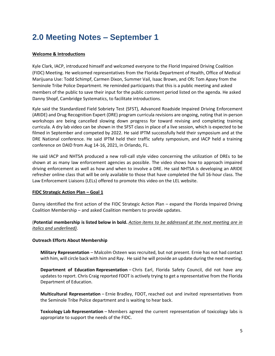## **2.0 Meeting Notes – September 1**

## **Welcome & Introductions**

Kyle Clark, IACP, introduced himself and welcomed everyone to the Florid Impaired Driving Coalition (FIDC) Meeting. He welcomed representatives from the Florida Department of Health, Office of Medical Marijuana Use: Todd Schimpf, Carmen Dixon, Summer Vail, Isaac Brown, and Ofc Tom Apsey from the Seminole Tribe Police Department. He reminded participants that this is a public meeting and asked members of the public to save their input for the public comment period listed on the agenda. He asked Danny Shopf, Cambridge Systematics, to facilitate introductions.

Kyle said the Standardized Field Sobriety Test (SFST), Advanced Roadside Impaired Driving Enforcement (ARIDE) and Drug Recognition Expert (DRE) program curricula revisions are ongoing, noting that in-person workshops are being cancelled slowing down progress for toward revising and completing training curricula. A dry lab video can be shown in the SFST class in place of a live session, which is expected to be filmed in September and competed by 2022. He said IPTM successfully held their symposium and at the DRE National conference. He said IPTM held their traffic safety symposium, and IACP held a training conference on DAID from Aug 14-16, 2021, in Orlando, FL.

He said IACP and NHTSA produced a new roll-call style video concerning the utilization of DREs to be shown at as many law enforcement agencies as possible. The video shows how to approach impaired driving enforcement as well as how and when to involve a DRE. He said NHTSA is developing an ARIDE refresher online class that will be only available to those that have completed the full 16-hour class. The Law Enforcement Liaisons (LELs) offered to promote this video on the LEL website.

## **FIDC Strategic Action Plan – Goal 1**

Danny identified the first action of the FIDC Strategic Action Plan – expand the Florida Impaired Driving Coalition Membership – and asked Coalition members to provide updates.

## (**Potential membership is listed below in bold.** *Action items to be addressed at the next meeting are in italics and underlined)*.

## **Outreach Efforts About Membership**

**Military Representation** – Malcolm Osteen was recruited, but not present. Ernie has not had contact with him, will circle back with him and Ray. He said he will provide an update during the next meeting.

**Department of Education Representation** – Chris Earl, Florida Safety Council, did not have any updates to report. Chris Craig reported FDOT is actively trying to get a representative from the Florida Department of Education.

**Multicultural Representation** – Ernie Bradley, FDOT, reached out and invited representatives from the Seminole Tribe Police department and is waiting to hear back.

**Toxicology Lab Representation** – Members agreed the current representation of toxicology labs is appropriate to support the needs of the FIDC.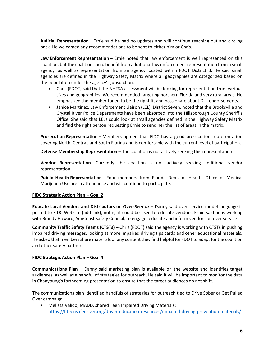**Judicial Representation** – Ernie said he had no updates and will continue reaching out and circling back. He welcomed any recommendations to be sent to either him or Chris.

**Law Enforcement Representation** – Ernie noted that law enforcement is well represented on this coalition, but the coalition could benefit from additional law enforcement representation from a small agency, as well as representation from an agency located within FDOT District 3. He said small agencies are defined in the Highway Safety Matrix where all geographies are categorized based on the population under the agency's jurisdiction.

- Chris (FDOT) said that the NHTSA assessment will be looking for representation from various sizes and geographies. We recommended targeting northern Florida and very rural areas. He emphasized the member toned to be the right fit and passionate about DUI endorsements.
- Janice Martinez, Law Enforcement Liaison (LEL), District Seven, noted that the Brooksville and Crystal River Police Departments have been absorbed into the Hillsborough County Sheriff's Office. She said that LELs could look at small agencies defined in the Highway Safety Matrix and find the right person requesting Ernie to send her the list of areas in the matrix.

**Prosecution Representation** – Members agreed that FIDC has a good prosecution representation covering North, Central, and South Florida and is comfortable with the current level of participation.

**Defense Membership Representation** – The coalition is not actively seeking this representation.

**Vendor Representation** – Currently the coalition is not actively seeking additional vendor representation.

**Public Health Representation** – Four members from Florida Dept. of Health, Office of Medical Marijuana Use are in attendance and will continue to participate.

## **FIDC Strategic Action Plan – Goal 2**

**Educate Local Vendors and Distributors on Over-Service** – Danny said over service model language is posted to FIDC Website (add link), noting it could be used to educate vendors. Ernie said he is working with Brandy Howard, SunCoast Safety Council, to engage, educate and inform vendors on over service.

**Community Traffic Safety Teams (CTSTs)** – Chris (FDOT) said the agency is working with CTSTs in pushing impaired driving messages, looking at more impaired driving tips cards and other educational materials. He asked that members share materials or any content they find helpful for FDOT to adapt for the coalition and other safety partners.

## **FIDC Strategic Action Plan – Goal 4**

**Communications Plan** – Danny said marketing plan is available on the website and identifies target audiences, as well as a handful of strategies for outreach. He said it will be important to monitor the data in Chanyoung's forthcoming presentation to ensure that the target audiences do not shift.

The communications plan identified handfuls of strategies for outreach tied to Drive Sober or Get Pulled Over campaign.

• Melissa Valido, MADD, shared Teen Impaired Driving Materials: <https://flteensafedriver.org/driver-education-resources/impaired-driving-prevention-materials/>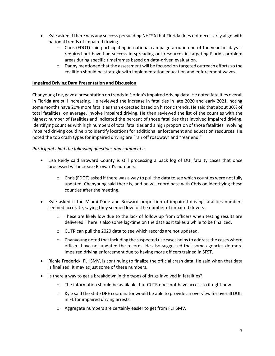- Kyle asked if there was any success persuading NHTSA that Florida does not necessarily align with national trends of impaired driving.
	- $\circ$  Chris (FDOT) said participating in national campaign around end of the year holidays is required but have had success in spreading out resources in targeting Florida problem areas during specific timeframes based on data-driven evaluation.
	- $\circ$  Danny mentioned that the assessment will be focused on targeted outreach efforts so the coalition should be strategic with implementation education and enforcement waves.

## **Impaired Driving Dara Presentation and Discussion**

Chanyoung Lee, gave a presentation on trends in Florida's impaired driving data. He noted fatalities overall in Florida are still increasing. He reviewed the increase in fatalities in late 2020 and early 2021, noting some months have 20% more fatalities than expected based on historic trends. He said that about 30% of total fatalities, on average, involve impaired driving. He then reviewed the list of the counties with the highest number of fatalities and indicated the percent of those fatalities that involved impaired driving. Identifying counties with high numbers of total fatalities and a high proportion of those fatalities involving impaired driving could help to identify locations for additional enforcement and education resources. He noted the top crash types for impaired driving are "ran off roadway" and "rear end."

## *Participants had the following questions and comments*:

- Lisa Reidy said Broward County is still processing a back log of DUI fatality cases that once processed will increase Broward's numbers.
	- $\circ$  Chris (FDOT) asked if there was a way to pull the data to see which counties were not fully updated. Chanyoung said there is, and he will coordinate with Chris on identifying these counties after the meeting.
- Kyle asked if the Miami-Dade and Broward proportion of impaired driving fatalities numbers seemed accurate, saying they seemed low for the number of impaired drivers.
	- $\circ$  These are likely low due to the lack of follow up from officers when testing results are delivered. There is also some lag-time on the data as it takes a while to be finalized.
	- o CUTR can pull the 2020 data to see which records are not updated.
	- $\circ$  Chanyoung noted that including the suspected use cases helps to address the cases where officers have not updated the records. He also suggested that some agencies do more impaired driving enforcement due to having more officers trained in SFST.
- Richie Frederick, FLHSMV, is continuing to finalize the official crash data. He said when that data is finalized, it may adjust some of these numbers.
- Is there a way to get a breakdown in the types of drugs involved in fatalities?
	- o The information should be available, but CUTR does not have access to it right now.
	- $\circ$  Kyle said the state DRE coordinator would be able to provide an overview for overall DUIs in FL for impaired driving arrests.
	- o Aggregate numbers are certainly easier to get from FLHSMV.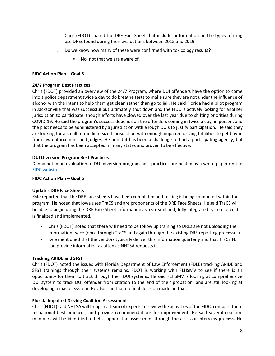- $\circ$  Chris (FDOT) shared the DRE Fact Sheet that includes information on the types of drug use DREs found during their evaluations between 2015 and 2019.
- o Do we know how many of these were confirmed with toxicology results?
	- No, not that we are aware of.

## **FIDC Action Plan – Goal 5**

## **24/7 Program Best Practices**

Chris (FDOT) provided an overview of the 24/7 Program, where DUI offenders have the option to come into a police department twice a day to do breathe tests to make sure they are not under the influence of alcohol with the intent to help them get clean rather than go to jail. He said Florida had a pilot program in Jacksonville that was successful but ultimately shut down and the FIDC is actively looking for another jurisdiction to participate, though efforts have slowed over the last year due to shifting priorities during COVID-19. He said the program's success depends on the offenders coming in twice a day, in person, and the pilot needs to be administered by a jurisdiction with enough DUIs to justify participation. He said they are looking for a small to medium sized jurisdiction with enough impaired driving fatalities to get buy-in from law enforcement and judges. He noted it has been a challenge to find a participating agency, but that the program has been accepted in many states and proven to be effective.

## **DUI Diversion Program Best Practices**

Danny noted an evaluation of DUI diversion program best practices are posted as a white paper on the [FIDC website.](http://www.flimpaireddriving.com/practices.html)

## **FIDC Action Plan – Goal 6**

## **Updates DRE Face Sheets**

Kyle reported that the DRE face sheets have been completed and testing is being conducted within the program. He noted that Iowa uses TraCS and are proponents of the DRE Face Sheets. He said TraCS will be able to begin using the DRE Face Sheet Information as a streamlined, fully integrated system once it is finalized and implemented.

- Chris (FDOT) noted that there will need to be follow up training so DREs are not uploading the information twice (once through TraCS and again through the existing DRE reporting processes).
- Kyle mentioned that the vendors typically deliver this information quarterly and that TraCS FL can provide information as often as NHTSA requests it.

## **Tracking ARIDE and SFST**

Chris (FDOT) noted the issues with Florida Department of Law Enforcement (FDLE) tracking ARIDE and SFST trainings through their systems remains. FDOT is working with FLHSMV to see if there is an opportunity for them to track through their DUI systems. He said FLHSMV is looking at comprehensive DUI system to track DUI offender from citation to the end of their probation, and are still looking at developing a master system. He also said that no final decision made on that.

## **Florida Impaired Driving Coalition Assessment**

Chris (FDOT) said NHTSA will bring in a team of experts to review the activities of the FIDC, compare them to national best practices, and provide recommendations for improvement. He said several coalition members will be identified to help support the assessment through the assessor interview process. He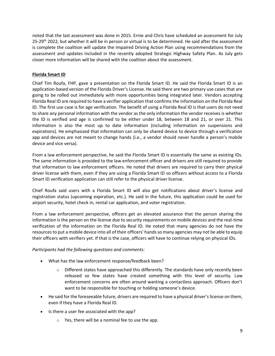noted that the last assessment was done in 2015. Ernie and Chris have scheduled an assessment for July 25-29<sup>th</sup> 2022, but whether it will be in person or virtual is to be determined. He said after the assessment is complete the coalition will update the Impaired Driving Action Plan using recommendations from the assessment and updates included in the recently adopted Strategic Highway Safety Plan. As July gets closer more information will be shared with the coalition about the assessment.

## **Florida Smart ID**

Chief Tim Roufa, FHP, gave a presentation on the Florida Smart ID. He said the Florida Smart ID is an application-based version of the Florida Driver's License. He said there are two primary use cases that are going to be rolled out immediately with more opportunities being integrated later. Vendors accepting Florida Real ID are required to have a verifier application that confirms the information on the Florida Real ID. The first use case is for age verification. The benefit of using a Florida Real ID is that users do not need to share any personal information with the vendor as the only information the vendor receives is whether the ID is verified and age is confirmed to be either under 18, between 18 and 21, or over 21. This information is also the most up to date information (including information on suspensions and expirations). He emphasized that information can only be shared device to device through a verification app and devices are not meant to change hands (i.e., a vendor should never handle a person's mobile device and vice versa).

From a law enforcement perspective, he said the Florida Smart ID is essentially the same as existing IDs. The same information is provided to the law enforcement officer and drivers are still required to provide that information to law enforcement officers. He noted that drivers are required to carry their physical driver license with them, even if they are using a Florida Smart ID so officers without access to a Florida Smart ID verification application can still refer to the physical driver license.

Chief Roufa said users with a Florida Smart ID will also get notifications about driver's license and registration status (upcoming expiration, etc.). He said in the future, this application could be used for airport security, hotel check in, rental car application, and voter registration.

From a law enforcement perspective, officers get an elevated assurance that the person sharing the information is the person on the license due to security requirements on mobile devices and the real-time verification of the information on the Florida Real ID. He noted that many agencies do not have the resources to put a mobile device into all of their officers' hands so many agencies may not be able to equip their officers with verifiers yet. If that is the case, officers will have to continue relying on physical IDs.

## *Participants had the following questions and comments:*

- What has the law enforcement response/feedback been?
	- $\circ$  Different states have approached this differently. The standards have only recently been released so few states have created something with this level of security. Law enforcement concerns are often around wanting a contactless approach. Officers don't want to be responsible for touching or holding someone's device.
- He said for the foreseeable future, drivers are required to have a physical driver's license on them, even if they have a Florida Real ID.
- Is there a user fee associated with the app?
	- o Yes, there will be a nominal fee to use the app.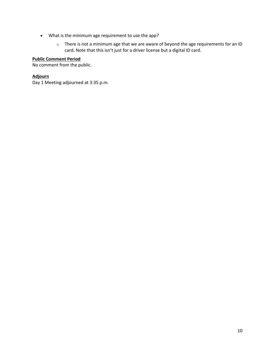- What is the minimum age requirement to use the app?
	- o There is not a minimum age that we are aware of beyond the age requirements for an ID card. Note that this isn't just for a driver license but a digital ID card.

#### **Public Comment Period**

No comment from the public.

#### **Adjourn**

Day 1 Meeting adjourned at 3:35 p.m.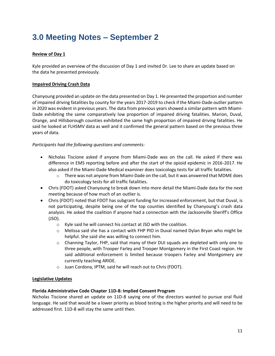## **3.0 Meeting Notes – September 2**

## **Review of Day 1**

Kyle provided an overview of the discussion of Day 1 and invited Dr. Lee to share an update based on the data he presented previously.

## **Impaired Driving Crash Data**

Chanyoung provided an update on the data presented on Day 1. He presented the proportion and number of impaired driving fatalities by county for the years 2017-2019 to check if the Miami-Dade outlier pattern in 2020 was evident in previous years. The data from previous years showed a similar pattern with Miami-Dade exhibiting the same comparatively low proportion of impaired driving fatalities. Marion, Duval, Orange, and Hillsborough counties exhibited the same high proportion of impaired driving fatalities. He said he looked at FLHSMV data as well and it confirmed the general pattern based on the previous three years of data.

## *Participants had the following questions and comments:*

- Nicholas Tiscione asked if anyone from Miami-Dade was on the call. He asked if there was difference in EMS reporting before and after the start of the opioid epidemic in 2016-2017. He also asked if the Miami-Dade Medical examiner does toxicology tests for all traffic fatalities.
	- $\circ$  There was not anyone from Miami-Dade on the call, but it was answered that MDME does do toxicology tests for all traffic fatalities.
- Chris (FDOT) asked Chanyoung to break down into more detail the Miami-Dade data for the next meeting because of how much of an outlier is.
- Chris (FDOT) noted that FDOT has subgrant funding for increased enforcement, but that Duval, is not participating, despite being one of the top counties identified by Chanyoung's crash data analysis. He asked the coalition if anyone had a connection with the Jacksonville Sheriff's Office (JSO).
	- o Kyle said he will connect his contact at JSO with the coalition.
	- $\circ$  Melissa said she has a contact with FHP PIO in Duval named Dylan Bryan who might be helpful. She said she was willing to connect him.
	- $\circ$  Channing Taylor, FHP, said that many of their DUI squads are depleted with only one to three people, with Trooper Farley and Trooper Montgomery in the First Coast region. He said additional enforcement is limited because troopers Farley and Montgomery are currently teaching ARIDE.
	- o Juan Cordona, IPTM, said he will reach out to Chris (FDOT).

## **Legislative Updates**

## **Florida Administrative Code Chapter 11D-8: Implied Consent Program**

Nicholas Tiscione shared an update on 11D-8 saying one of the directors wanted to pursue oral fluid language. He said that would be a lower priority as blood testing is the higher priority and will need to be addressed first. 11D-8 will stay the same until then.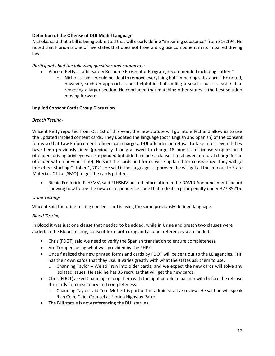## **Definition of the Offense of DUI Model Language**

Nicholas said that a bill is being submitted that will clearly define "impairing substance" from 316.194. He noted that Florida is one of five states that does not have a drug use component in its impaired driving law.

## *Participants had the following questions and comments:*

- Vincent Petty, Traffic Safety Resource Prosecutor Program, recommended including "other."
	- $\circ$  Nicholas said it would be ideal to remove everything but "impairing substance." He noted, however, such an approach is not helpful in that adding a small clause is easier than removing a larger section. He concluded that matching other states is the best solution moving forward.

## **Implied Consent Cards Group Discussion**

## *Breath Testing-*

Vincent Petty reported from Oct 1st of this year, the new statute will go into effect and allow us to use the updated implied consent cards. They updated the language (both English and Spanish) of the consent forms so that Law Enforcement officers can charge a DUI offender on refusal to take a test even if they have been previously fined (previously it only allowed to charge 18 months of license suspension if offenders driving privilege was suspended but didn't include a clause that allowed a refusal charge for an offender with a previous fine). He said the cards and forms were updated for consistency. They will go into effect starting October 1, 2021. He said if the language is approved, he will get all the info out to State Materials Office (SMO) to get the cards printed.

• Richie Frederick, FLHSMV, said FLHSMV posted information in the DAVID Announcements board showing how to see the new correspondence code that reflects a prior penalty under 327.35215.

## *Urine Testing*-

Vincent said the urine testing consent card is using the same previously defined language.

## *Blood Testing-*

In Blood it was just one clause that needed to be added, while in Urine and breath two clauses were added. In the Blood Testing, consent form both drug and alcohol references were added.

- Chris (FDOT) said we need to verify the Spanish translation to ensure completeness.
- Are Troopers using what was provided by the FHP?
- Once finalized the new printed forms and cards by FDOT will be sent out to the LE agencies. FHP has their own cards that they use. It varies greatly with what the states ask them to use.
	- o Channing Taylor We still run into older cards, and we expect the new cards will solve any isolated issues. He said he has 35 recruits that will get the new cards.
- Chris(FDOT) asked Channing to loop them with the right people to partner with before the release the cards for consistency and completeness.
	- $\circ$  Channing Taylor said Tom Moffett is part of the administrative review. He said he will speak Rich Coln, Chief Counsel at Florida Highway Patrol.
- The BUI statue is now referencing the DUI statues.